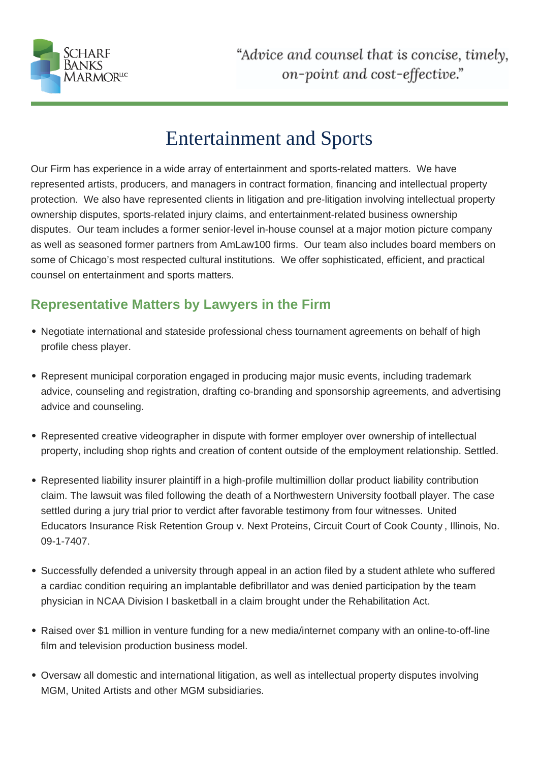

## Entertainment and Sports

Our Firm has experience in a wide array of entertainment and sports-related matters. We have represented artists, producers, and managers in contract formation, financing and intellectual property protection. We also have represented clients in litigation and pre-litigation involving intellectual property ownership disputes, sports-related injury claims, and entertainment-related business ownership disputes. Our team includes a former senior-level in-house counsel at a major motion picture company as well as seasoned former partners from AmLaw100 firms. Our team also includes board members on some of Chicago's most respected cultural institutions. We offer sophisticated, efficient, and practical counsel on entertainment and sports matters.

## **Representative Matters by Lawyers in the Firm**

- Negotiate international and stateside professional chess tournament agreements on behalf of high profile chess player.
- Represent municipal corporation engaged in producing major music events, including trademark advice, counseling and registration, drafting co-branding and sponsorship agreements, and advertising advice and counseling.
- Represented creative videographer in dispute with former employer over ownership of intellectual property, including shop rights and creation of content outside of the employment relationship. Settled.
- Represented liability insurer plaintiff in a high-profile multimillion dollar product liability contribution claim. The lawsuit was filed following the death of a Northwestern University football player. The case settled during a jury trial prior to verdict after favorable testimony from four witnesses. United Educators Insurance Risk Retention Group v. Next Proteins, Circuit Court of Cook County , Illinois, No. 09-1-7407.
- Successfully defended a university through appeal in an action filed by a student athlete who suffered a cardiac condition requiring an implantable defibrillator and was denied participation by the team physician in NCAA Division I basketball in a claim brought under the Rehabilitation Act.
- Raised over \$1 million in venture funding for a new media/internet company with an online-to-off-line film and television production business model.
- Oversaw all domestic and international litigation, as well as intellectual property disputes involving MGM, United Artists and other MGM subsidiaries.